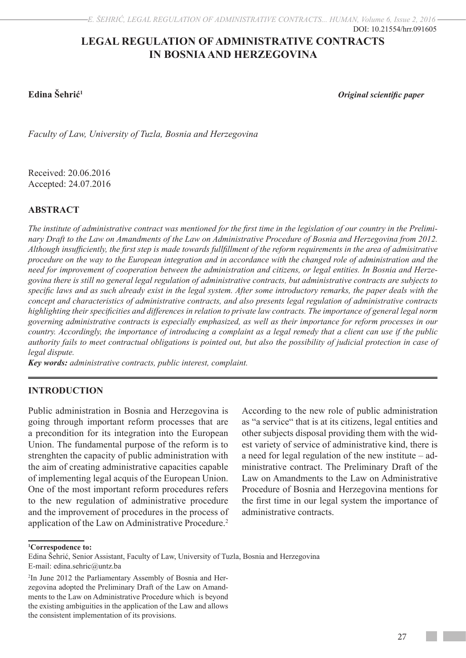# **LEGAL REGULATION OF ADMINISTRATIVE CONTRACTS IN BOSNIA AND HERZEGOVINA**

**Edina Šehrić1** *Original scientific paper* 

*Faculty of Law, University of Tuzla, Bosnia and Herzegovina*

Received: 20.06.2016 Accepted: 24.07.2016

# **ABSTRACT**

*The institute of administrative contract was mentioned for the first time in the legislation of our country in the Preliminary Draft to the Law on Amandments of the Law on Administrative Procedure of Bosnia and Herzegovina from 2012. Although insufficiently, the first step is made towards fullfillment of the reform requirements in the area of admisitrative procedure on the way to the European integration and in accordance with the changed role of administration and the need for improvement of cooperation between the administration and citizens, or legal entities. In Bosnia and Herzegovina there is still no general legal regulation of administrative contracts, but administrative contracts are subjects to specific laws and as such already exist in the legal system. After some introductory remarks, the paper deals with the concept and characteristics of administrative contracts, and also presents legal regulation of administrative contracts highlighting their specificities and differences in relation to private law contracts. The importance of general legal norm governing administrative contracts is especially emphasized, as well as their importance for reform processes in our country. Accordingly, the importance of introducing a complaint as a legal remedy that a client can use if the public authority fails to meet contractual obligations is pointed out, but also the possibility of judicial protection in case of legal dispute.*

*Key words: administrative contracts, public interest, complaint.* 

# **INTRODUCTION**

Public administration in Bosnia and Herzegovina is going through important reform processes that are a precondition for its integration into the European Union. The fundamental purpose of the reform is to strenghten the capacity of public administration with the aim of creating administrative capacities capable of implementing legal acquis of the European Union. One of the most important reform procedures refers to the new regulation of administrative procedure and the improvement of procedures in the process of application of the Law on Administrative Procedure.<sup>2</sup>

According to the new role of public administration as "a service" that is at its citizens, legal entities and other subjects disposal providing them with the widest variety of service of administrative kind, there is a need for legal regulation of the new institute – administrative contract. The Preliminary Draft of the Law on Amandments to the Law on Administrative Procedure of Bosnia and Herzegovina mentions for the first time in our legal system the importance of administrative contracts.

**1 Correspodence to:**

Edina Šehrić, Senior Assistant, Faculty of Law, University of Tuzla, Bosnia and Herzegovina E-mail: edina.sehric@untz.ba

<sup>2</sup> In June 2012 the Parliamentary Assembly of Bosnia and Herzegovina adopted the Preliminary Draft of the Law on Amandments to the Law on Administrative Procedure which is beyond the existing ambiguities in the application of the Law and allows the consistent implementation of its provisions.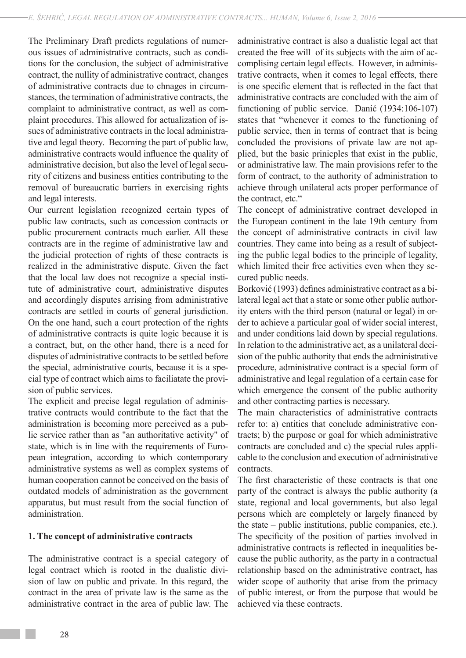The Preliminary Draft predicts regulations of numerous issues of administrative contracts, such as conditions for the conclusion, the subject of administrative contract, the nullity of administrative contract, changes of administrative contracts due to chnages in circumstances, the termination of administrative contracts, the complaint to administrative contract, as well as complaint procedures. This allowed for actualization of issues of administrative contracts in the local administrative and legal theory. Becoming the part of public law, administrative contracts would influence the quality of administrative decision, but also the level of legal security of citizens and business entities contributing to the removal of bureaucratic barriers in exercising rights and legal interests.

Our current legislation recognized certain types of public law contracts, such as concession contracts or public procurement contracts much earlier. All these contracts are in the regime of administrative law and the judicial protection of rights of these contracts is realized in the administrative dispute. Given the fact that the local law does not recognize a special institute of administrative court, administrative disputes and accordingly disputes arrising from administrative contracts are settled in courts of general jurisdiction. On the one hand, such a court protection of the rights of administrative contracts is quite logic because it is a contract, but, on the other hand, there is a need for disputes of administrative contracts to be settled before the special, administrative courts, because it is a special type of contract which aims to faciliatate the provision of public services.

The explicit and precise legal regulation of administrative contracts would contribute to the fact that the administration is becoming more perceived as a public service rather than as "an authoritative activity" of state, which is in line with the requirements of European integration, according to which contemporary administrative systems as well as complex systems of human cooperation cannot be conceived on the basis of outdated models of administration as the government apparatus, but must result from the social function of administration.

## **1. The concept of administrative contracts**

The administrative contract is a special category of legal contract which is rooted in the dualistic division of law on public and private. In this regard, the contract in the area of private law is the same as the administrative contract in the area of public law. The

administrative contract is also a dualistic legal act that created the free will of its subjects with the aim of accomplising certain legal effects. However, in administrative contracts, when it comes to legal effects, there is one specific element that is reflected in the fact that administrative contracts are concluded with the aim of functioning of public service. Danić (1934:106-107) states that "whenever it comes to the functioning of public service, then in terms of contract that is being concluded the provisions of private law are not applied, but the basic prinicples that exist in the public, or administrative law. The main provisions refer to the form of contract, to the authority of administration to achieve through unilateral acts proper performance of the contract, etc."

The concept of administrative contract developed in the European continent in the late 19th century from the concept of administrative contracts in civil law countries. They came into being as a result of subjecting the public legal bodies to the principle of legality, which limited their free activities even when they secured public needs.

Borković (1993) defines administrative contract as a bilateral legal act that a state or some other public authority enters with the third person (natural or legal) in order to achieve a particular goal of wider social interest, and under conditions laid down by special regulations. In relation to the administrative act, as a unilateral decision of the public authority that ends the administrative procedure, administrative contract is a special form of administrative and legal regulation of a certain case for which emergence the consent of the public authority and other contracting parties is necessary.

The main characteristics of administrative contracts refer to: a) entities that conclude administrative contracts; b) the purpose or goal for which administrative contracts are concluded and c) the special rules applicable to the conclusion and execution of administrative contracts.

The first characteristic of these contracts is that one party of the contract is always the public authority (a state, regional and local governments, but also legal persons which are completely or largely financed by the state – public institutions, public companies, etc.). The specificity of the position of parties involved in administrative contracts is reflected in inequalities because the public authority, as the party in a contractual relationship based on the administrative contract, has wider scope of authority that arise from the primacy of public interest, or from the purpose that would be achieved via these contracts.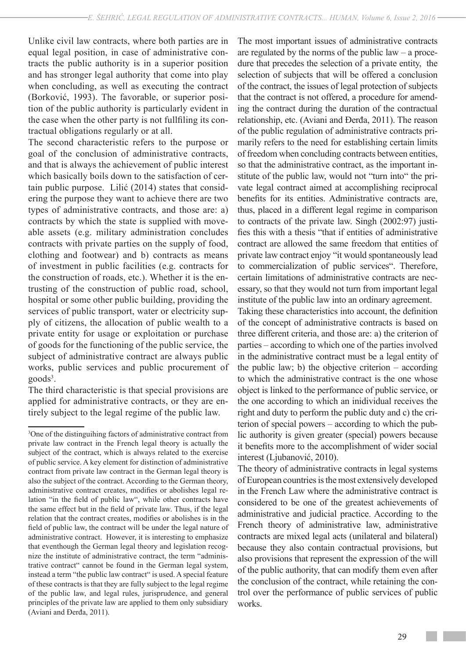Unlike civil law contracts, where both parties are in equal legal position, in case of administrative contracts the public authority is in a superior position and has stronger legal authority that come into play when concluding, as well as executing the contract (Borković, 1993). The favorable, or superior position of the public authority is particularly evident in the case when the other party is not fullfiling its contractual obligations regularly or at all.

The second characteristic refers to the purpose or goal of the conclusion of administrative contracts, and that is always the achievement of public interest which basically boils down to the satisfaction of certain public purpose. Lilić (2014) states that considering the purpose they want to achieve there are two types of administrative contracts, and those are: a) contracts by which the state is supplied with moveable assets (e.g. military administration concludes contracts with private parties on the supply of food, clothing and footwear) and b) contracts as means of investment in public facilities (e.g. contracts for the construction of roads, etc.). Whether it is the entrusting of the construction of public road, school, hospital or some other public building, providing the services of public transport, water or electricity supply of citizens, the allocation of public wealth to a private entity for usage or exploitation or purchase of goods for the functioning of the public service, the subject of administrative contract are always public works, public services and public procurement of goods<sup>3</sup>.

The third characteristic is that special provisions are applied for administrative contracts, or they are entirely subject to the legal regime of the public law.

The most important issues of administrative contracts are regulated by the norms of the public law – a procedure that precedes the selection of a private entity, the selection of subjects that will be offered a conclusion of the contract, the issues of legal protection of subjects that the contract is not offered, a procedure for amending the contract during the duration of the contractual relationship, etc. (Aviani and Đerđa, 2011). The reason of the public regulation of administrative contracts primarily refers to the need for establishing certain limits of freedom when concluding contracts between entities, so that the administrative contract, as the important institute of the public law, would not "turn into" the private legal contract aimed at accomplishing reciprocal benefits for its entities. Administrative contracts are, thus, placed in a different legal regime in comparison to contracts of the private law. Singh (2002:97) justifies this with a thesis "that if entities of administrative contract are allowed the same freedom that entities of private law contract enjoy "it would spontaneously lead to commercialization of public services". Therefore, certain limitations of administrative contracts are necessary, so that they would not turn from important legal institute of the public law into an ordinary agreement.

Taking these characteristics into account, the definition of the concept of administrative contracts is based on three different criteria, and those are: a) the criterion of parties – according to which one of the parties involved in the administrative contract must be a legal entity of the public law; b) the objective criterion  $-$  according to which the administrative contract is the one whose object is linked to the performance of public service, or the one according to which an inidividual receives the right and duty to perform the public duty and c) the criterion of special powers – according to which the public authority is given greater (special) powers because it benefits more to the accomplishment of wider social interest (Ljubanović, 2010).

The theory of administrative contracts in legal systems of European countries is the most extensively developed in the French Law where the administrative contract is considered to be one of the greatest achievements of administrative and judicial practice. According to the French theory of administrative law, administrative contracts are mixed legal acts (unilateral and bilateral) because they also contain contractual provisions, but also provisions that represent the expression of the will of the public authority, that can modify them even after the conclusion of the contract, while retaining the control over the performance of public services of public works.

<sup>3</sup> One of the distinguihing factors of administrative contract from private law contract in the French legal theory is actually the subject of the contract, which is always related to the exercise of public service. A key element for distinction of administrative contract from private law contract in the German legal theory is also the subject of the contract. According to the German theory, administrative contract creates, modifies or abolishes legal relation "in the field of public law", while other contracts have the same effect but in the field of private law. Thus, if the legal relation that the contract creates, modifies or abolishes is in the field of public law, the contract will be under the legal nature of administrative contract. However, it is interesting to emphasize that eventhough the German legal theory and legislation recognize the institute of administrative contract, the term "administrative contract" cannot be found in the German legal system, instead a term "the public law contract" is used. A special feature of these contracts is that they are fully subject to the legal regime of the public law, and legal rules, jurisprudence, and general principles of the private law are applied to them only subsidiary (Aviani and Đerđa, 2011).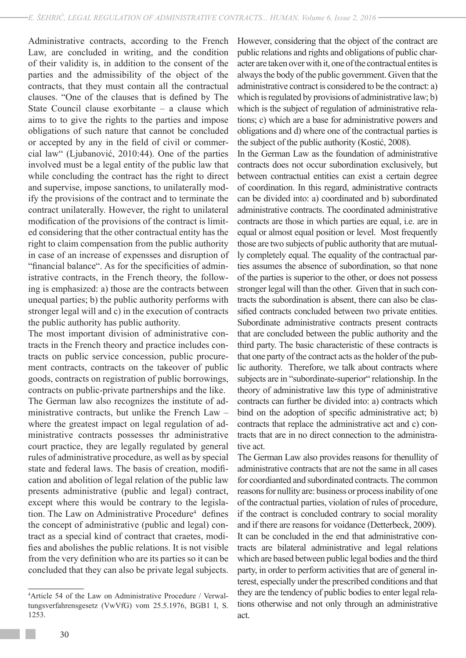Administrative contracts, according to the French Law, are concluded in writing, and the condition of their validity is, in addition to the consent of the parties and the admissibility of the object of the contracts, that they must contain all the contractual clauses. "One of the clauses that is defined by The State Council clause exorbitante – a clause which aims to to give the rights to the parties and impose obligations of such nature that cannot be concluded or accepted by any in the field of civil or commercial law" (Ljubanović, 2010:44). One of the parties involved must be a legal entity of the public law that while concluding the contract has the right to direct and supervise, impose sanctions, to unilaterally modify the provisions of the contract and to terminate the contract unilaterally. However, the right to unilateral modification of the provisions of the contract is limited considering that the other contractual entity has the right to claim compensation from the public authority in case of an increase of expensses and disruption of "financial balance". As for the specificities of administrative contracts, in the French theory, the following is emphasized: a) those are the contracts between unequal parties; b) the public authority performs with stronger legal will and c) in the execution of contracts the public authority has public authority.

The most important division of administrative contracts in the French theory and practice includes contracts on public service concession, public procurement contracts, contracts on the takeover of public goods, contracts on registration of public borrowings, contracts on public-private partnerships and the like. The German law also recognizes the institute of administrative contracts, but unlike the French Law – where the greatest impact on legal regulation of administrative contracts possesses thr administrative court practice, they are legally regulated by general rules of administrative procedure, as well as by special state and federal laws. The basis of creation, modification and abolition of legal relation of the public law presents administrative (public and legal) contract, except where this would be contrary to the legislation. The Law on Administrative Procedure<sup>4</sup> defines the concept of administrative (public and legal) contract as a special kind of contract that craetes, modifies and abolishes the public relations. It is not visible from the very definition who are its parties so it can be concluded that they can also be private legal subjects.

However, considering that the object of the contract are public relations and rights and obligations of public character are taken over with it, one of the contractual entites is always the body of the public government. Given that the administrative contract is considered to be the contract: a) which is regulated by provisions of administrative law; b) which is the subject of regulation of administrative relations; c) which are a base for administrative powers and obligations and d) where one of the contractual parties is the subject of the public authority (Kostić, 2008).

In the German Law as the foundation of administrative contracts does not occur subordination exclusively, but between contractual entities can exist a certain degree of coordination. In this regard, administrative contracts can be divided into: a) coordinated and b) subordinated administrative contracts. The coordinated administrative contracts are those in which parties are equal, i.e. are in equal or almost equal position or level. Most frequently those are two subjects of public authority that are mutually completely equal. The equality of the contractual parties assumes the absence of subordination, so that none of the parties is superior to the other, or does not possess stronger legal will than the other. Given that in such contracts the subordination is absent, there can also be classified contracts concluded between two private entities. Subordinate administrative contracts present contracts that are concluded between the public authority and the third party. The basic characteristic of these contracts is that one party of the contract acts as the holder of the public authority. Therefore, we talk about contracts where subjects are in "subordinate-superior" relationship. In the theory of administrative law this type of administrative contracts can further be divided into: a) contracts which bind on the adoption of specific administrative act; b) contracts that replace the administrative act and c) contracts that are in no direct connection to the administrative act.

The German Law also provides reasons for thenullity of administrative contracts that are not the same in all cases for coordianted and subordinated contracts. The common reasons for nullity are: business or process inability of one of the contractual parties, violation of rules of procedure, if the contract is concluded contrary to social morality and if there are reasons for voidance (Detterbeck, 2009). It can be concluded in the end that administrative contracts are bilateral administrative and legal relations which are based between public legal bodies and the third party, in order to perform activities that are of general interest, especially under the prescribed conditions and that they are the tendency of public bodies to enter legal relations otherwise and not only through an administrative act.

<sup>4</sup> Article 54 of the Law on Administrative Procedure / Verwaltungsverfahrensgesetz (VwVfG) vom 25.5.1976, BGB1 I, S. 1253.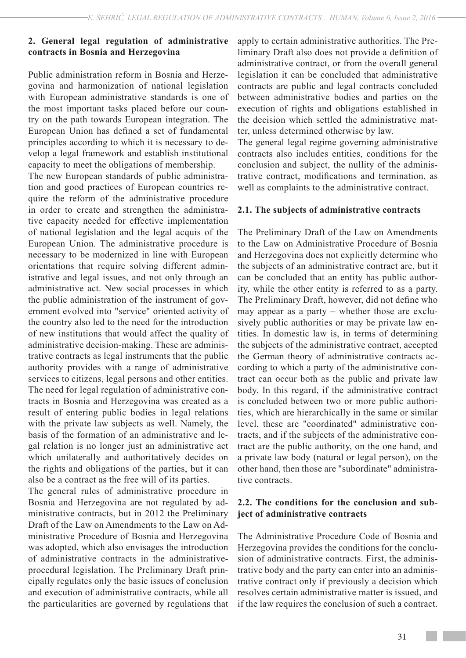# **2. General legal regulation of administrative contracts in Bosnia and Herzegovina**

Public administration reform in Bosnia and Herzegovina and harmonization of national legislation with European administrative standards is one of the most important tasks placed before our country on the path towards European integration. The European Union has defined a set of fundamental principles according to which it is necessary to develop a legal framework and establish institutional capacity to meet the obligations of membership.

The new European standards of public administration and good practices of European countries require the reform of the administrative procedure in order to create and strengthen the administrative capacity needed for effective implementation of national legislation and the legal acquis of the European Union. The administrative procedure is necessary to be modernized in line with European orientations that require solving different administrative and legal issues, and not only through an administrative act. New social processes in which the public administration of the instrument of government evolved into "service" oriented activity of the country also led to the need for the introduction of new institutions that would affect the quality of administrative decision-making. These are administrative contracts as legal instruments that the public authority provides with a range of administrative services to citizens, legal persons and other entities. The need for legal regulation of administrative contracts in Bosnia and Herzegovina was created as a result of entering public bodies in legal relations with the private law subjects as well. Namely, the basis of the formation of an administrative and legal relation is no longer just an administrative act which unilaterally and authoritatively decides on the rights and obligations of the parties, but it can also be a contract as the free will of its parties.

The general rules of administrative procedure in Bosnia and Herzegovina are not regulated by administrative contracts, but in 2012 the Preliminary Draft of the Law on Amendments to the Law on Administrative Procedure of Bosnia and Herzegovina was adopted, which also envisages the introduction of administrative contracts in the administrativeprocedural legislation. The Preliminary Draft principally regulates only the basic issues of conclusion and execution of administrative contracts, while all the particularities are governed by regulations that apply to certain administrative authorities. The Preliminary Draft also does not provide a definition of administrative contract, or from the overall general legislation it can be concluded that administrative contracts are public and legal contracts concluded between administrative bodies and parties on the execution of rights and obligations established in the decision which settled the administrative matter, unless determined otherwise by law.

The general legal regime governing administrative contracts also includes entities, conditions for the conclusion and subject, the nullity of the administrative contract, modifications and termination, as well as complaints to the administrative contract.

#### **2.1. The subjects of administrative contracts**

The Preliminary Draft of the Law on Amendments to the Law on Administrative Procedure of Bosnia and Herzegovina does not explicitly determine who the subjects of an administrative contract are, but it can be concluded that an entity has public authority, while the other entity is referred to as a party. The Preliminary Draft, however, did not define who may appear as a party – whether those are exclusively public authorities or may be private law entities. In domestic law is, in terms of determining the subjects of the administrative contract, accepted the German theory of administrative contracts according to which a party of the administrative contract can occur both as the public and private law body. In this regard, if the administrative contract is concluded between two or more public authorities, which are hierarchically in the same or similar level, these are "coordinated" administrative contracts, and if the subjects of the administrative contract are the public authority, on the one hand, and a private law body (natural or legal person), on the other hand, then those are "subordinate" administrative contracts.

## **2.2. The conditions for the conclusion and subject of administrative contracts**

The Administrative Procedure Code of Bosnia and Herzegovina provides the conditions for the conclusion of administrative contracts. First, the administrative body and the party can enter into an administrative contract only if previously a decision which resolves certain administrative matter is issued, and if the law requires the conclusion of such a contract.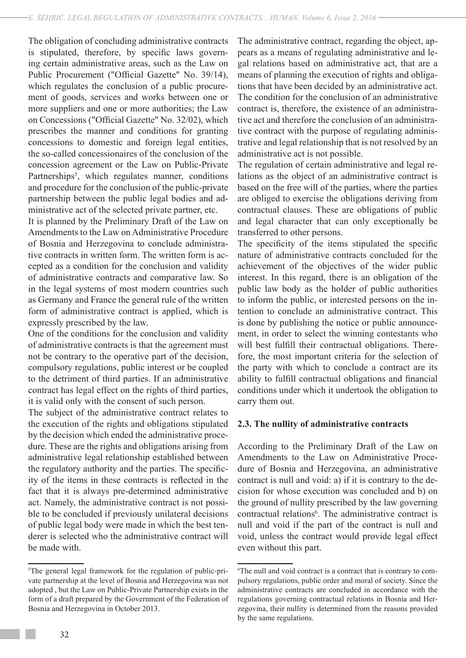The obligation of concluding administrative contracts is stipulated, therefore, by specific laws governing certain administrative areas, such as the Law on Public Procurement ("Official Gazette" No. 39/14), which regulates the conclusion of a public procurement of goods, services and works between one or more suppliers and one or more authorities; the Law on Concessions ("Official Gazette" No. 32/02), which prescribes the manner and conditions for granting concessions to domestic and foreign legal entities, the so-called concessionaires of the conclusion of the concession agreement or the Law on Public-Private Partnerships<sup>5</sup>, which regulates manner, conditions and procedure for the conclusion of the public-private partnership between the public legal bodies and administrative act of the selected private partner, etc.

It is planned by the Preliminary Draft of the Law on Amendments to the Law on Administrative Procedure of Bosnia and Herzegovina to conclude administrative contracts in written form. The written form is accepted as a condition for the conclusion and validity of administrative contracts and comparative law. So in the legal systems of most modern countries such as Germany and France the general rule of the written form of administrative contract is applied, which is expressly prescribed by the law.

One of the conditions for the conclusion and validity of administrative contracts is that the agreement must not be contrary to the operative part of the decision, compulsory regulations, public interest or be coupled to the detriment of third parties. If an administrative contract has legal effect on the rights of third parties, it is valid only with the consent of such person.

The subject of the administrative contract relates to the execution of the rights and obligations stipulated by the decision which ended the administrative procedure. These are the rights and obligations arising from administrative legal relationship established between the regulatory authority and the parties. The specificity of the items in these contracts is reflected in the fact that it is always pre-determined administrative act. Namely, the administrative contract is not possible to be concluded if previously unilateral decisions of public legal body were made in which the best tenderer is selected who the administrative contract will be made with.

The administrative contract, regarding the object, appears as a means of regulating administrative and legal relations based on administrative act, that are a means of planning the execution of rights and obligations that have been decided by an administrative act. The condition for the conclusion of an administrative contract is, therefore, the existence of an administrative act and therefore the conclusion of an administrative contract with the purpose of regulating administrative and legal relationship that is not resolved by an administrative act is not possible.

The regulation of certain administrative and legal relations as the object of an administrative contract is based on the free will of the parties, where the parties are obliged to exercise the obligations deriving from contractual clauses. These are obligations of public and legal character that can only exceptionally be transferred to other persons.

The specificity of the items stipulated the specific nature of administrative contracts concluded for the achievement of the objectives of the wider public interest. In this regard, there is an obligation of the public law body as the holder of public authorities to inform the public, or interested persons on the intention to conclude an administrative contract. This is done by publishing the notice or public announcement, in order to select the winning contestants who will best fulfill their contractual obligations. Therefore, the most important criteria for the selection of the party with which to conclude a contract are its ability to fulfill contractual obligations and financial conditions under which it undertook the obligation to carry them out.

#### **2.3. The nullity of administrative contracts**

According to the Preliminary Draft of the Law on Amendments to the Law on Administrative Procedure of Bosnia and Herzegovina, an administrative contract is null and void: a) if it is contrary to the decision for whose execution was concluded and b) on the ground of nullity prescribed by the law governing contractual relations<sup>6</sup>. The administrative contract is null and void if the part of the contract is null and void, unless the contract would provide legal effect even without this part.

<sup>5</sup> The general legal framework for the regulation of public-private partnership at the level of Bosnia and Herzegovina was not adopted , but the Law on Public-Private Partnership exists in the form of a draft prepared by the Government of the Federation of Bosnia and Herzegovina in October 2013.

<sup>6</sup> The null and void contract is a contract that is contrary to compulsory regulations, public order and moral of society. Since the administrative contracts are concluded in accordance with the regulations governing contractual relations in Bosnia and Herzegovina, their nullity is determined from the reasons provided by the same regulations.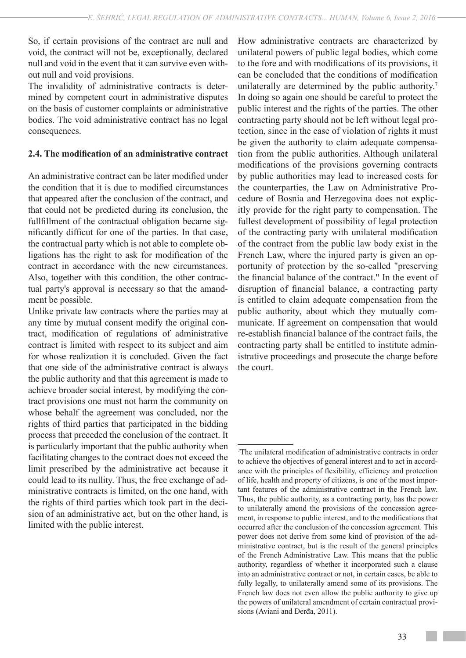So, if certain provisions of the contract are null and void, the contract will not be, exceptionally, declared null and void in the event that it can survive even without null and void provisions.

The invalidity of administrative contracts is determined by competent court in administrative disputes on the basis of customer complaints or administrative bodies. The void administrative contract has no legal consequences.

# **2.4. The modification of an administrative contract**

An administrative contract can be later modified under the condition that it is due to modified circumstances that appeared after the conclusion of the contract, and that could not be predicted during its conclusion, the fullfillment of the contractual obligation became significantly difficut for one of the parties. In that case, the contractual party which is not able to complete obligations has the right to ask for modification of the contract in accordance with the new circumstances. Also, together with this condition, the other contractual party's approval is necessary so that the amandment be possible.

Unlike private law contracts where the parties may at any time by mutual consent modify the original contract, modification of regulations of administrative contract is limited with respect to its subject and aim for whose realization it is concluded. Given the fact that one side of the administrative contract is always the public authority and that this agreement is made to achieve broader social interest, by modifying the contract provisions one must not harm the community on whose behalf the agreement was concluded, nor the rights of third parties that participated in the bidding process that preceded the conclusion of the contract. It is particularly important that the public authority when facilitating changes to the contract does not exceed the limit prescribed by the administrative act because it could lead to its nullity. Thus, the free exchange of administrative contracts is limited, on the one hand, with the rights of third parties which took part in the decision of an administrative act, but on the other hand, is limited with the public interest.

How administrative contracts are characterized by unilateral powers of public legal bodies, which come to the fore and with modifications of its provisions, it can be concluded that the conditions of modification unilaterally are determined by the public authority.<sup>7</sup> In doing so again one should be careful to protect the public interest and the rights of the parties. The other contracting party should not be left without legal protection, since in the case of violation of rights it must be given the authority to claim adequate compensation from the public authorities. Although unilateral modifications of the provisions governing contracts by public authorities may lead to increased costs for the counterparties, the Law on Administrative Procedure of Bosnia and Herzegovina does not explicitly provide for the right party to compensation. The fullest development of possibility of legal protection of the contracting party with unilateral modification of the contract from the public law body exist in the French Law, where the injured party is given an opportunity of protection by the so-called "preserving the financial balance of the contract." In the event of disruption of financial balance, a contracting party is entitled to claim adequate compensation from the public authority, about which they mutually communicate. If agreement on compensation that would re-establish financial balance of the contract fails, the contracting party shall be entitled to institute administrative proceedings and prosecute the charge before the court.

<sup>7</sup> The unilateral modification of administrative contracts in order to achieve the objectives of general interest and to act in accordance with the principles of flexibility, efficiency and protection of life, health and property of citizens, is one of the most important features of the administrative contract in the French law. Thus, the public authority, as a contracting party, has the power to unilaterally amend the provisions of the concession agreement, in response to public interest, and to the modifications that occurred after the conclusion of the concession agreement. This power does not derive from some kind of provision of the administrative contract, but is the result of the general principles of the French Administrative Law. This means that the public authority, regardless of whether it incorporated such a clause into an administrative contract or not, in certain cases, be able to fully legally, to unilaterally amend some of its provisions. The French law does not even allow the public authority to give up the powers of unilateral amendment of certain contractual provisions (Aviani and Đerđa, 2011).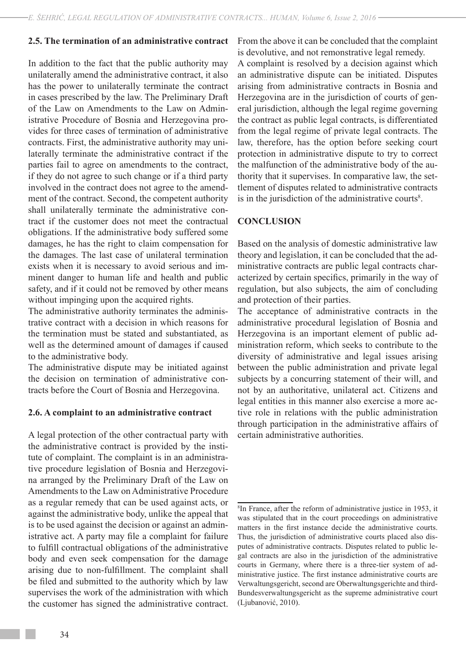#### **2.5. The termination of an administrative contract**

In addition to the fact that the public authority may unilaterally amend the administrative contract, it also has the power to unilaterally terminate the contract in cases prescribed by the law. The Preliminary Draft of the Law on Amendments to the Law on Administrative Procedure of Bosnia and Herzegovina provides for three cases of termination of administrative contracts. First, the administrative authority may unilaterally terminate the administrative contract if the parties fail to agree on amendments to the contract, if they do not agree to such change or if a third party involved in the contract does not agree to the amendment of the contract. Second, the competent authority shall unilaterally terminate the administrative contract if the customer does not meet the contractual obligations. If the administrative body suffered some damages, he has the right to claim compensation for the damages. The last case of unilateral termination exists when it is necessary to avoid serious and imminent danger to human life and health and public safety, and if it could not be removed by other means without impinging upon the acquired rights.

The administrative authority terminates the administrative contract with a decision in which reasons for the termination must be stated and substantiated, as well as the determined amount of damages if caused to the administrative body.

The administrative dispute may be initiated against the decision on termination of administrative contracts before the Court of Bosnia and Herzegovina.

#### **2.6. A complaint to an administrative contract**

A legal protection of the other contractual party with the administrative contract is provided by the institute of complaint. The complaint is in an administrative procedure legislation of Bosnia and Herzegovina arranged by the Preliminary Draft of the Law on Amendments to the Law on Administrative Procedure as a regular remedy that can be used against acts, or against the administrative body, unlike the appeal that is to be used against the decision or against an administrative act. A party may file a complaint for failure to fulfill contractual obligations of the administrative body and even seek compensation for the damage arising due to non-fulfillment. The complaint shall be filed and submitted to the authority which by law supervises the work of the administration with which the customer has signed the administrative contract.

From the above it can be concluded that the complaint is devolutive, and not remonstrative legal remedy.

A complaint is resolved by a decision against which an administrative dispute can be initiated. Disputes arising from administrative contracts in Bosnia and Herzegovina are in the jurisdiction of courts of general jurisdiction, although the legal regime governing the contract as public legal contracts, is differentiated from the legal regime of private legal contracts. The law, therefore, has the option before seeking court protection in administrative dispute to try to correct the malfunction of the administrative body of the authority that it supervises. In comparative law, the settlement of disputes related to administrative contracts is in the jurisdiction of the administrative courts<sup>8</sup>.

#### **CONCLUSION**

Based on the analysis of domestic administrative law theory and legislation, it can be concluded that the administrative contracts are public legal contracts characterized by certain specifics, primarily in the way of regulation, but also subjects, the aim of concluding and protection of their parties.

The acceptance of administrative contracts in the administrative procedural legislation of Bosnia and Herzegovina is an important element of public administration reform, which seeks to contribute to the diversity of administrative and legal issues arising between the public administration and private legal subjects by a concurring statement of their will, and not by an authoritative, unilateral act. Citizens and legal entities in this manner also exercise a more active role in relations with the public administration through participation in the administrative affairs of certain administrative authorities.

<sup>8</sup> In France, after the reform of administrative justice in 1953, it was stipulated that in the court proceedings on administrative matters in the first instance decide the administrative courts. Thus, the jurisdiction of administrative courts placed also disputes of administrative contracts. Disputes related to public legal contracts are also in the jurisdiction of the administrative courts in Germany, where there is a three-tier system of administrative justice. The first instance administrative courts are Verwaltungsgericht, second are Oberwaltungsgerichte and third-Bundesverwaltungsgericht as the supreme administrative court (Ljubanović, 2010).